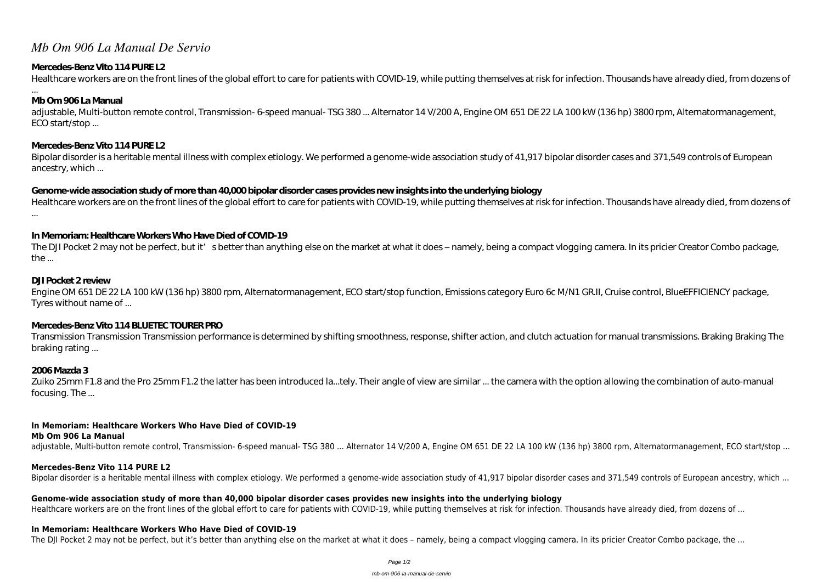# *Mb Om 906 La Manual De Servio*

## **Mercedes-Benz Vito 114 PURE L2**

Healthcare workers are on the front lines of the global effort to care for patients with COVID-19, while putting themselves at risk for infection. Thousands have already died, from dozens of

...

## **Mb Om 906 La Manual**

adjustable, Multi-button remote control, Transmission- 6-speed manual- TSG 380 ... Alternator 14 V/200 A, Engine OM 651 DE 22 LA 100 kW (136 hp) 3800 rpm, Alternatormanagement, ECO start/stop ...

## **Mercedes-Benz Vito 114 PURE L2**

Bipolar disorder is a heritable mental illness with complex etiology. We performed a genome-wide association study of 41,917 bipolar disorder cases and 371,549 controls of European ancestry, which ...

## **Genome-wide association study of more than 40,000 bipolar disorder cases provides new insights into the underlying biology**

Healthcare workers are on the front lines of the global effort to care for patients with COVID-19, while putting themselves at risk for infection. Thousands have already died, from dozens of ...

Zuiko 25mm F1.8 and the Pro 25mm F1.2 the latter has been introduced la...tely. Their angle of view are similar ... the camera with the option allowing the combination of auto-manual focusing. The ...

## **In Memoriam: Healthcare Workers Who Have Died of COVID-19**

The DJI Pocket 2 may not be perfect, but it's better than anything else on the market at what it does – namely, being a compact vlogging camera. In its pricier Creator Combo package, the ...

### **DJI Pocket 2 review**

Engine OM 651 DE 22 LA 100 kW (136 hp) 3800 rpm, Alternatormanagement, ECO start/stop function, Emissions category Euro 6c M/N1 GR.II, Cruise control, BlueEFFICIENCY package, Tyres without name of ...

## **Mercedes-Benz Vito 114 BLUETEC TOURER PRO**

Transmission Transmission Transmission performance is determined by shifting smoothness, response, shifter action, and clutch actuation for manual transmissions. Braking Braking The braking rating ...

## **2006 Mazda 3**

## **In Memoriam: Healthcare Workers Who Have Died of COVID-19**

#### **Mb Om 906 La Manual**

adjustable, Multi-button remote control, Transmission- 6-speed manual- TSG 380 ... Alternator 14 V/200 A, Engine OM 651 DE 22 LA 100 kW (136 hp) 3800 rpm, Alternatormanagement, ECO start/stop ...

#### **Mercedes-Benz Vito 114 PURE L2**

Bipolar disorder is a heritable mental illness with complex etiology. We performed a genome-wide association study of 41,917 bipolar disorder cases and 371,549 controls of European ancestry, which ...

# **Genome-wide association study of more than 40,000 bipolar disorder cases provides new insights into the underlying biology**

Healthcare workers are on the front lines of the global effort to care for patients with COVID-19, while putting themselves at risk for infection. Thousands have already died, from dozens of ...

#### **In Memoriam: Healthcare Workers Who Have Died of COVID-19**

The DJI Pocket 2 may not be perfect, but it's better than anything else on the market at what it does - namely, being a compact vlogging camera. In its pricier Creator Combo package, the ...